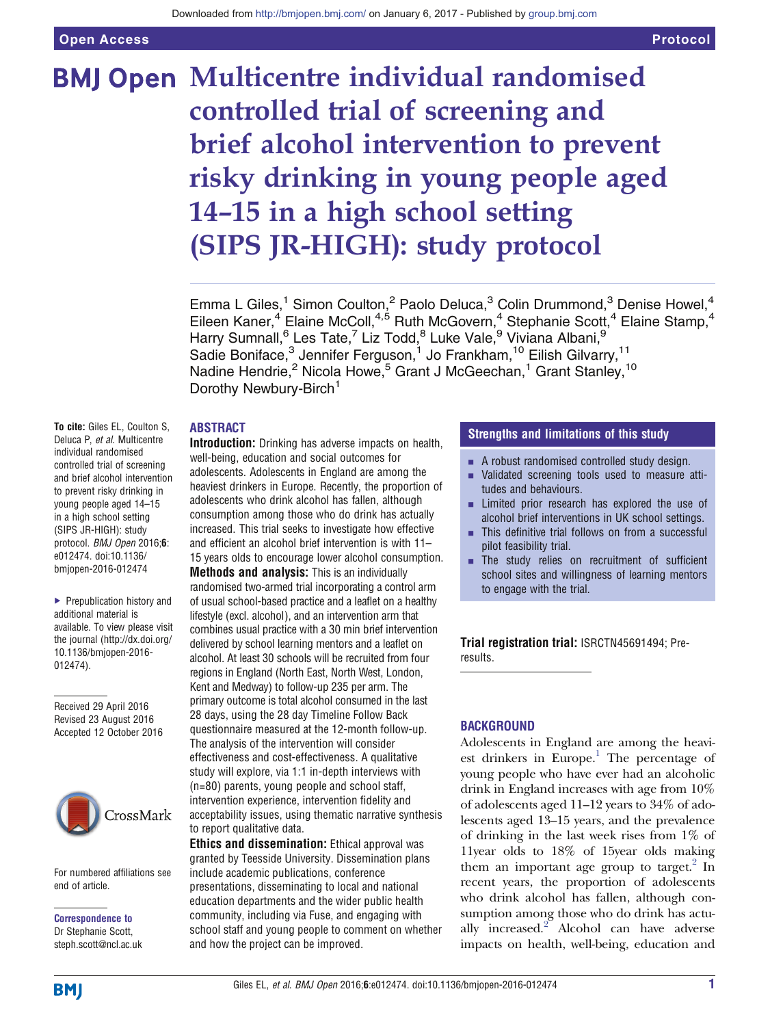# **BMJ Open Multicentre individual randomised** controlled trial of screening and brief alcohol intervention to prevent risky drinking in young people aged 14–15 in a high school setting (SIPS JR-HIGH): study protocol

Emma L Giles,<sup>1</sup> Simon Coulton,<sup>2</sup> Paolo Deluca,<sup>3</sup> Colin Drummond,<sup>3</sup> Denise Howel,<sup>4</sup> Eileen Kaner,<sup>4</sup> Elaine McColl,<sup>4,5</sup> Ruth McGovern,<sup>4</sup> Stephanie Scott,<sup>4</sup> Elaine Stamp,<sup>4</sup> Harry Sumnall,<sup>6</sup> Les Tate,<sup>7</sup> Liz Todd,<sup>8</sup> Luke Vale,<sup>9</sup> Viviana Albani,<sup>9</sup> Sadie Boniface,<sup>3</sup> Jennifer Ferguson,<sup>1</sup> Jo Frankham,<sup>10</sup> Eilish Gilvarry,<sup>11</sup> Nadine Hendrie,<sup>2</sup> Nicola Howe,<sup>5</sup> Grant J McGeechan,<sup>1</sup> Grant Stanley,<sup>10</sup> Dorothy Newbury-Birch<sup>1</sup>

#### ABSTRACT

To cite: Giles EL, Coulton S, Deluca P, et al. Multicentre individual randomised controlled trial of screening and brief alcohol intervention to prevent risky drinking in young people aged 14–15 in a high school setting (SIPS JR-HIGH): study protocol. BMJ Open 2016;6: e012474. doi:10.1136/ bmjopen-2016-012474

▶ Prepublication history and additional material is available. To view please visit the journal [\(http://dx.doi.org/](http://dx.doi.org/10.1136/bmjopen-2016-012474) [10.1136/bmjopen-2016-](http://dx.doi.org/10.1136/bmjopen-2016-012474) [012474\)](http://dx.doi.org/10.1136/bmjopen-2016-012474).

Received 29 April 2016 Revised 23 August 2016 Accepted 12 October 2016



For numbered affiliations see end of article.

Correspondence to Dr Stephanie Scott, steph.scott@ncl.ac.uk Introduction: Drinking has adverse impacts on health, well-being, education and social outcomes for adolescents. Adolescents in England are among the heaviest drinkers in Europe. Recently, the proportion of adolescents who drink alcohol has fallen, although consumption among those who do drink has actually increased. This trial seeks to investigate how effective and efficient an alcohol brief intervention is with 11– 15 years olds to encourage lower alcohol consumption.

Methods and analysis: This is an individually randomised two-armed trial incorporating a control arm of usual school-based practice and a leaflet on a healthy lifestyle (excl. alcohol), and an intervention arm that combines usual practice with a 30 min brief intervention delivered by school learning mentors and a leaflet on alcohol. At least 30 schools will be recruited from four regions in England (North East, North West, London, Kent and Medway) to follow-up 235 per arm. The primary outcome is total alcohol consumed in the last 28 days, using the 28 day Timeline Follow Back questionnaire measured at the 12-month follow-up. The analysis of the intervention will consider effectiveness and cost-effectiveness. A qualitative study will explore, via 1:1 in-depth interviews with (n=80) parents, young people and school staff, intervention experience, intervention fidelity and acceptability issues, using thematic narrative synthesis to report qualitative data.

Ethics and dissemination: Ethical approval was granted by Teesside University. Dissemination plans include academic publications, conference presentations, disseminating to local and national education departments and the wider public health community, including via Fuse, and engaging with school staff and young people to comment on whether and how the project can be improved.

#### Strengths and limitations of this study

- $\blacksquare$  A robust randomised controlled study design.
- Validated screening tools used to measure attitudes and behaviours.
- $\blacksquare$  Limited prior research has explored the use of alcohol brief interventions in UK school settings.
- $\blacksquare$  This definitive trial follows on from a successful pilot feasibility trial.
- $\blacksquare$  The study relies on recruitment of sufficient school sites and willingness of learning mentors to engage with the trial.

Trial registration trial: [ISRCTN45691494](http://www.isrctn.com/ISRCTN45691494); Preresults.

#### **BACKGROUND**

Adolescents in England are among the heavi-est drinkers in Europe.<sup>[1](#page-8-0)</sup> The percentage of young people who have ever had an alcoholic drink in England increases with age from 10% of adolescents aged 11–12 years to 34% of adolescents aged 13–15 years, and the prevalence of drinking in the last week rises from 1% of 11year olds to 18% of 15year olds making them an important age group to target. $2 \text{ In }$ recent years, the proportion of adolescents who drink alcohol has fallen, although consumption among those who do drink has actu-ally increased.<sup>[2](#page-8-0)</sup> Alcohol can have adverse impacts on health, well-being, education and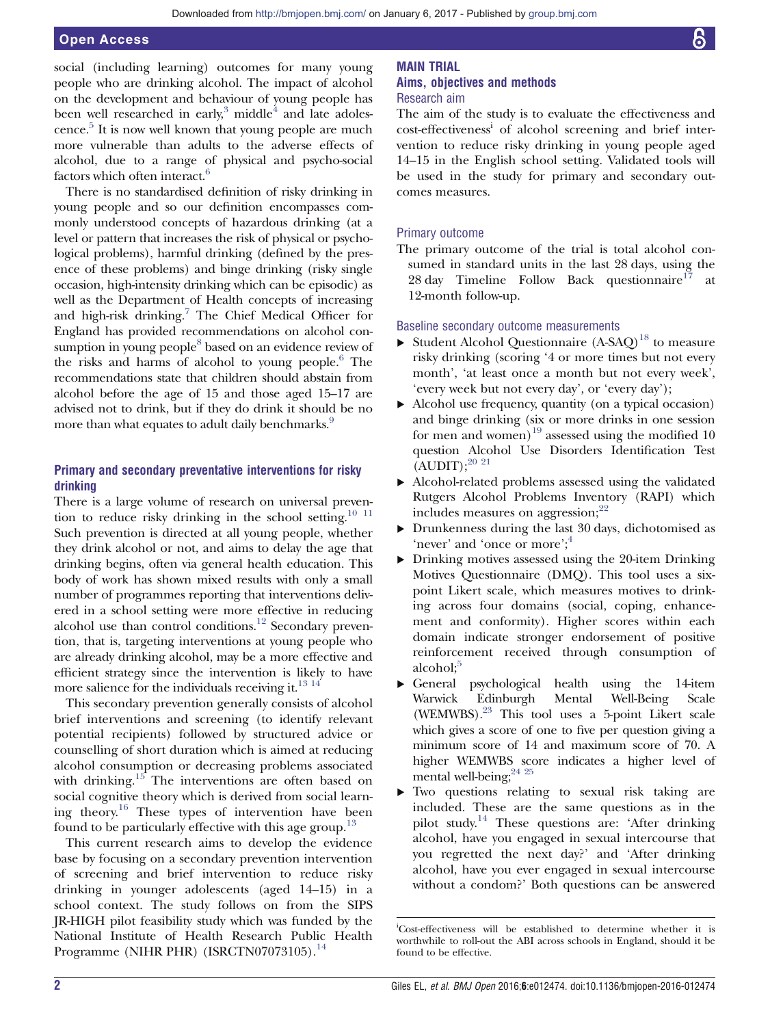social (including learning) outcomes for many young people who are drinking alcohol. The impact of alcohol on the development and behaviour of young people has been well researched in early, $3 \text{ middle}^4$  and late adolescence. $5$  It is now well known that young people are much more vulnerable than adults to the adverse effects of alcohol, due to a range of physical and psycho-social factors which often interact.<sup>[6](#page-8-0)</sup>

There is no standardised definition of risky drinking in young people and so our definition encompasses commonly understood concepts of hazardous drinking (at a level or pattern that increases the risk of physical or psychological problems), harmful drinking (defined by the presence of these problems) and binge drinking (risky single occasion, high-intensity drinking which can be episodic) as well as the Department of Health concepts of increasing and high-risk drinking.<sup>7</sup> The Chief Medical Officer for England has provided recommendations on alcohol consumption in young people<sup>8</sup> based on an evidence review of the risks and harms of alcohol to young people.<sup>6</sup> The recommendations state that children should abstain from alcohol before the age of 15 and those aged 15–17 are advised not to drink, but if they do drink it should be no more than what equates to adult daily benchmarks.<sup>[9](#page-8-0)</sup>

#### Primary and secondary preventative interventions for risky drinking

There is a large volume of research on universal preven-tion to reduce risky drinking in the school setting.<sup>[10 11](#page-8-0)</sup> Such prevention is directed at all young people, whether they drink alcohol or not, and aims to delay the age that drinking begins, often via general health education. This body of work has shown mixed results with only a small number of programmes reporting that interventions delivered in a school setting were more effective in reducing alcohol use than control conditions.<sup>12</sup> Secondary prevention, that is, targeting interventions at young people who are already drinking alcohol, may be a more effective and efficient strategy since the intervention is likely to have more salience for the individuals receiving it. $^{13}$   $^{14}$ 

This secondary prevention generally consists of alcohol brief interventions and screening (to identify relevant potential recipients) followed by structured advice or counselling of short duration which is aimed at reducing alcohol consumption or decreasing problems associated with drinking.<sup>[15](#page-8-0)</sup> The interventions are often based on social cognitive theory which is derived from social learn-ing theory.<sup>[16](#page-8-0)</sup> These types of intervention have been found to be particularly effective with this age group.<sup>[13](#page-8-0)</sup>

This current research aims to develop the evidence base by focusing on a secondary prevention intervention of screening and brief intervention to reduce risky drinking in younger adolescents (aged 14–15) in a school context. The study follows on from the SIPS JR-HIGH pilot feasibility study which was funded by the National Institute of Health Research Public Health Programme (NIHR PHR) (ISRCTN07073105).<sup>[14](#page-8-0)</sup>

#### MAIN TRIAL Aims, objectives and methods Research aim

The aim of the study is to evaluate the effectiveness and cost-effectiveness<sup>i</sup> of alcohol screening and brief intervention to reduce risky drinking in young people aged 14–15 in the English school setting. Validated tools will be used in the study for primary and secondary outcomes measures.

#### Primary outcome

The primary outcome of the trial is total alcohol consumed in standard units in the last 28 days, using the 28 day Timeline Follow Back questionnaire<sup>[17](#page-8-0)</sup> at 12-month follow-up.

#### Baseline secondary outcome measurements

- $\triangleright$  Student Alcohol Questionnaire (A-SAQ)<sup>[18](#page-8-0)</sup> to measure risky drinking (scoring '4 or more times but not every month', 'at least once a month but not every week', 'every week but not every day', or 'every day');
- ▸ Alcohol use frequency, quantity (on a typical occasion) and binge drinking (six or more drinks in one session for men and women)<sup>[19](#page-8-0)</sup> assessed using the modified 10 question Alcohol Use Disorders Identification Test  $(AUDIT);^{20}$ <sup>21</sup>
- Alcohol-related problems assessed using the validated Rutgers Alcohol Problems Inventory (RAPI) which includes measures on aggression; $^{22}$  $^{22}$  $^{22}$
- ▸ Drunkenness during the last 30 days, dichotomised as 'never' and 'once or more';<sup>[4](#page-8-0)</sup>
- ▸ Drinking motives assessed using the 20-item Drinking Motives Questionnaire (DMQ). This tool uses a sixpoint Likert scale, which measures motives to drinking across four domains (social, coping, enhancement and conformity). Higher scores within each domain indicate stronger endorsement of positive reinforcement received through consumption of alcohol;<sup>[5](#page-8-0)</sup>
- ▸ General psychological health using the 14-item Warwick Edinburgh Mental Well-Being Scale (WEMWBS)[.23](#page-8-0) This tool uses a 5-point Likert scale which gives a score of one to five per question giving a minimum score of 14 and maximum score of 70. A higher WEMWBS score indicates a higher level of mental well-being;  $24^{25}$
- Two questions relating to sexual risk taking are included. These are the same questions as in the pilot study[.14](#page-8-0) These questions are: 'After drinking alcohol, have you engaged in sexual intercourse that you regretted the next day?' and 'After drinking alcohol, have you ever engaged in sexual intercourse without a condom?' Both questions can be answered

i Cost-effectiveness will be established to determine whether it is worthwhile to roll-out the ABI across schools in England, should it be found to be effective.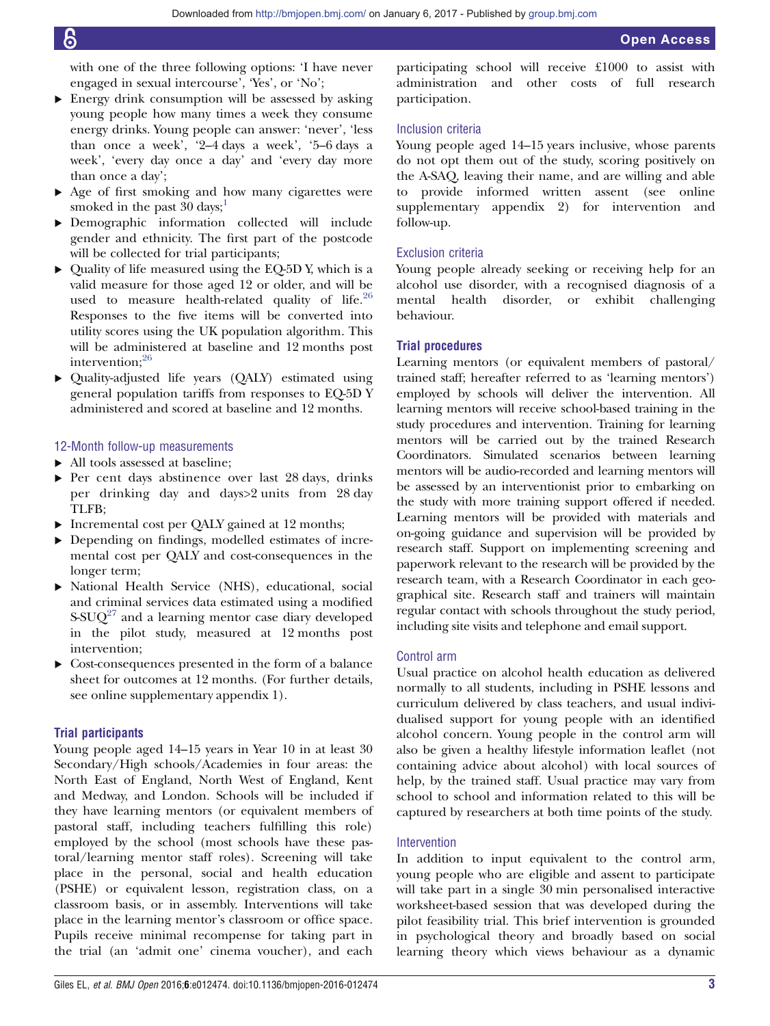with one of the three following options: 'I have never engaged in sexual intercourse', 'Yes', or 'No';

- ▸ Energy drink consumption will be assessed by asking young people how many times a week they consume energy drinks. Young people can answer: 'never', 'less than once a week', '2–4 days a week', '5–6 days a week', 'every day once a day' and 'every day more than once a day';
- ▸ Age of first smoking and how many cigarettes were smoked in the past  $30 \text{ days}$ ;<sup>1</sup>
- ▸ Demographic information collected will include gender and ethnicity. The first part of the postcode will be collected for trial participants;
- ▸ Quality of life measured using the EQ-5D Y, which is a valid measure for those aged 12 or older, and will be used to measure health-related quality of life. $26$ Responses to the five items will be converted into utility scores using the UK population algorithm. This will be administered at baseline and 12 months post intervention;<sup>[26](#page-8-0)</sup>
- ▸ Quality-adjusted life years (QALY) estimated using general population tariffs from responses to EQ-5D Y administered and scored at baseline and 12 months.

#### 12-Month follow-up measurements

- ▸ All tools assessed at baseline;
- ▸ Per cent days abstinence over last 28 days, drinks per drinking day and days>2 units from 28 day TLFB;
- ▸ Incremental cost per QALY gained at 12 months;
- ▸ Depending on findings, modelled estimates of incremental cost per QALY and cost-consequences in the longer term;
- ▸ National Health Service (NHS), educational, social and criminal services data estimated using a modified  $S-SUQ^{27}$  $S-SUQ^{27}$  $S-SUQ^{27}$  and a learning mentor case diary developed in the pilot study, measured at 12 months post intervention;
- ▸ Cost-consequences presented in the form of a balance sheet for outcomes at 12 months. (For further details, see online [supplementary](http://dx.doi.org/10.1136/bmjopen-2016-012474) a[ppendix 1\).](https://www.youtube.com/watch?v=2ZBm3VZVtx0&feature=em-upload_owner)

#### Trial participants

Young people aged 14–15 years in Year 10 in at least 30 Secondary/High schools/Academies in four areas: the North East of England, North West of England, Kent and Medway, and London. Schools will be included if they have learning mentors (or equivalent members of pastoral staff, including teachers fulfilling this role) employed by the school (most schools have these pastoral/learning mentor staff roles). Screening will take place in the personal, social and health education (PSHE) or equivalent lesson, registration class, on a classroom basis, or in assembly. Interventions will take place in the learning mentor's classroom or office space. Pupils receive minimal recompense for taking part in the trial (an 'admit one' cinema voucher), and each

participating school will receive £1000 to assist with administration and other costs of full research participation.

#### Inclusion criteria

Young people aged 14–15 years inclusive, whose parents do not opt them out of the study, scoring positively on the A-SAQ, leaving their name, and are willing and able to provide informed written assent (see online [supplementary appendix 2\)](http://dx.doi.org/10.1136/bmjopen-2016-012474) for intervention and follow-up.

#### Exclusion criteria

Young people already seeking or receiving help for an alcohol use disorder, with a recognised diagnosis of a mental health disorder, or exhibit challenging behaviour.

#### Trial procedures

Learning mentors (or equivalent members of pastoral/ trained staff; hereafter referred to as 'learning mentors') employed by schools will deliver the intervention. All learning mentors will receive school-based training in the study procedures and intervention. Training for learning mentors will be carried out by the trained Research Coordinators. Simulated scenarios between learning mentors will be audio-recorded and learning mentors will be assessed by an interventionist prior to embarking on the study with more training support offered if needed. Learning mentors will be provided with materials and on-going guidance and supervision will be provided by research staff. Support on implementing screening and paperwork relevant to the research will be provided by the research team, with a Research Coordinator in each geographical site. Research staff and trainers will maintain regular contact with schools throughout the study period, including site visits and telephone and email support.

#### Control arm

Usual practice on alcohol health education as delivered normally to all students, including in PSHE lessons and curriculum delivered by class teachers, and usual individualised support for young people with an identified alcohol concern. Young people in the control arm will also be given a healthy lifestyle information leaflet (not containing advice about alcohol) with local sources of help, by the trained staff. Usual practice may vary from school to school and information related to this will be captured by researchers at both time points of the study.

#### Intervention

In addition to input equivalent to the control arm, young people who are eligible and assent to participate will take part in a single 30 min personalised interactive worksheet-based session that was developed during the pilot feasibility trial. This brief intervention is grounded in psychological theory and broadly based on social learning theory which views behaviour as a dynamic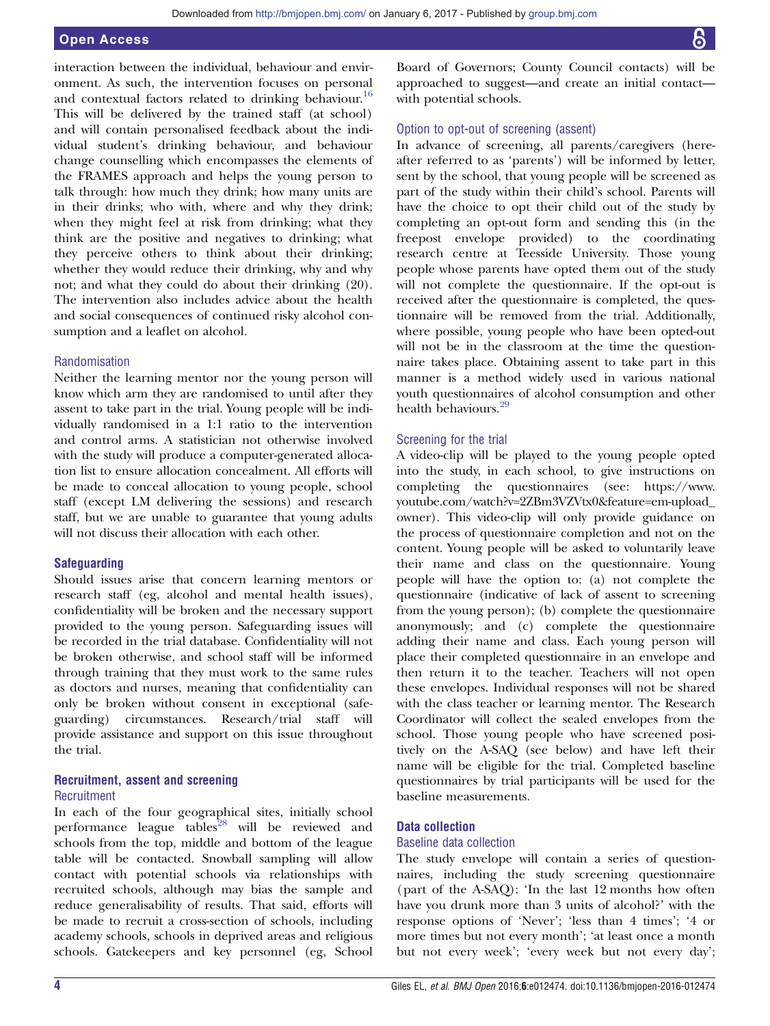# Open Access

interaction between the individual, behaviour and environment. As such, the intervention focuses on personal and contextual factors related to drinking behaviour.<sup>[16](#page-8-0)</sup> This will be delivered by the trained staff (at school) and will contain personalised feedback about the individual student's drinking behaviour, and behaviour change counselling which encompasses the elements of the FRAMES approach and helps the young person to talk through: how much they drink; how many units are in their drinks; who with, where and why they drink; when they might feel at risk from drinking; what they think are the positive and negatives to drinking; what they perceive others to think about their drinking; whether they would reduce their drinking, why and why not; and what they could do about their drinking (20). The intervention also includes advice about the health and social consequences of continued risky alcohol consumption and a leaflet on alcohol.

#### Randomisation

Neither the learning mentor nor the young person will know which arm they are randomised to until after they assent to take part in the trial. Young people will be individually randomised in a 1:1 ratio to the intervention and control arms. A statistician not otherwise involved with the study will produce a computer-generated allocation list to ensure allocation concealment. All efforts will be made to conceal allocation to young people, school staff (except LM delivering the sessions) and research staff, but we are unable to guarantee that young adults will not discuss their allocation with each other.

#### **Safeguarding**

Should issues arise that concern learning mentors or research staff (eg, alcohol and mental health issues), confidentiality will be broken and the necessary support provided to the young person. Safeguarding issues will be recorded in the trial database. Confidentiality will not be broken otherwise, and school staff will be informed through training that they must work to the same rules as doctors and nurses, meaning that confidentiality can only be broken without consent in exceptional (safeguarding) circumstances. Research/trial staff will provide assistance and support on this issue throughout the trial.

#### Recruitment, assent and screening **Recruitment**

In each of the four geographical sites, initially school performance league tables<sup>[28](#page-8-0)</sup> will be reviewed and schools from the top, middle and bottom of the league table will be contacted. Snowball sampling will allow contact with potential schools via relationships with recruited schools, although may bias the sample and reduce generalisability of results. That said, efforts will be made to recruit a cross-section of schools, including academy schools, schools in deprived areas and religious schools. Gatekeepers and key personnel (eg, School

Board of Governors; County Council contacts) will be approached to suggest—and create an initial contact with potential schools.

#### Option to opt-out of screening (assent)

In advance of screening, all parents/caregivers (hereafter referred to as 'parents') will be informed by letter, sent by the school, that young people will be screened as part of the study within their child's school. Parents will have the choice to opt their child out of the study by completing an opt-out form and sending this (in the freepost envelope provided) to the coordinating research centre at Teesside University. Those young people whose parents have opted them out of the study will not complete the questionnaire. If the opt-out is received after the questionnaire is completed, the questionnaire will be removed from the trial. Additionally, where possible, young people who have been opted-out will not be in the classroom at the time the questionnaire takes place. Obtaining assent to take part in this manner is a method widely used in various national youth questionnaires of alcohol consumption and other health behaviours<sup>[29](#page-8-0)</sup>

#### Screening for the trial

A video-clip will be played to the young people opted into the study, in each school, to give instructions on completing the questionnaires (see: [https://www.](https://www.youtube.com/watch?v=2ZBm3VZVtx0&feature=em-upload_owner) [youtube.com/watch?v=2ZBm3VZVtx0&feature=em-upload\\_](https://www.youtube.com/watch?v=2ZBm3VZVtx0&feature=em-upload_owner) [owner](https://www.youtube.com/watch?v=2ZBm3VZVtx0&feature=em-upload_owner)). This video-clip will only provide guidance on the process of questionnaire completion and not on the content. Young people will be asked to voluntarily leave their name and class on the questionnaire. Young people will have the option to: (a) not complete the questionnaire (indicative of lack of assent to screening from the young person); (b) complete the questionnaire anonymously; and (c) complete the questionnaire adding their name and class. Each young person will place their completed questionnaire in an envelope and then return it to the teacher. Teachers will not open these envelopes. Individual responses will not be shared with the class teacher or learning mentor. The Research Coordinator will collect the sealed envelopes from the school. Those young people who have screened positively on the A-SAQ (see below) and have left their name will be eligible for the trial. Completed baseline questionnaires by trial participants will be used for the baseline measurements.

#### Data collection

#### Baseline data collection

The study envelope will contain a series of questionnaires, including the study screening questionnaire (part of the A-SAQ): 'In the last 12 months how often have you drunk more than 3 units of alcohol?' with the response options of 'Never'; 'less than 4 times'; '4 or more times but not every month'; 'at least once a month but not every week'; 'every week but not every day';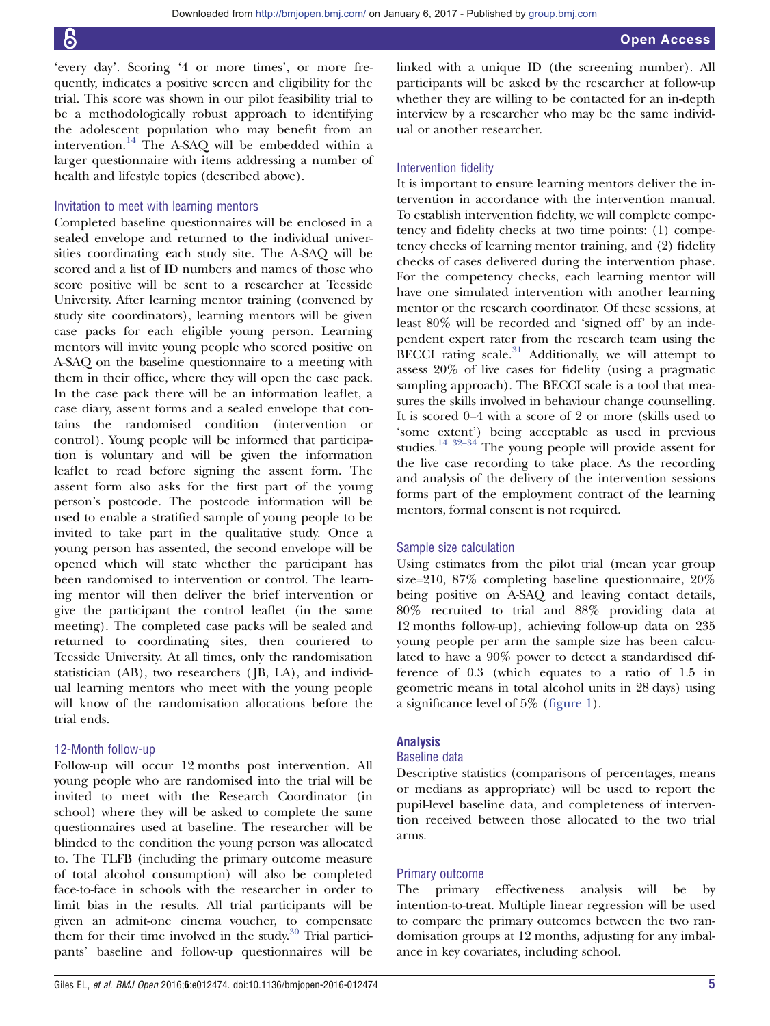'every day'. Scoring '4 or more times', or more frequently, indicates a positive screen and eligibility for the trial. This score was shown in our pilot feasibility trial to be a methodologically robust approach to identifying the adolescent population who may benefit from an intervention.[14](#page-8-0) The A-SAQ will be embedded within a larger questionnaire with items addressing a number of health and lifestyle topics (described above).

#### Invitation to meet with learning mentors

Completed baseline questionnaires will be enclosed in a sealed envelope and returned to the individual universities coordinating each study site. The A-SAQ will be scored and a list of ID numbers and names of those who score positive will be sent to a researcher at Teesside University. After learning mentor training (convened by study site coordinators), learning mentors will be given case packs for each eligible young person. Learning mentors will invite young people who scored positive on A-SAQ on the baseline questionnaire to a meeting with them in their office, where they will open the case pack. In the case pack there will be an information leaflet, a case diary, assent forms and a sealed envelope that contains the randomised condition (intervention or control). Young people will be informed that participation is voluntary and will be given the information leaflet to read before signing the assent form. The assent form also asks for the first part of the young person's postcode. The postcode information will be used to enable a stratified sample of young people to be invited to take part in the qualitative study. Once a young person has assented, the second envelope will be opened which will state whether the participant has been randomised to intervention or control. The learning mentor will then deliver the brief intervention or give the participant the control leaflet (in the same meeting). The completed case packs will be sealed and returned to coordinating sites, then couriered to Teesside University. At all times, only the randomisation statistician (AB), two researchers ( JB, LA), and individual learning mentors who meet with the young people will know of the randomisation allocations before the trial ends.

#### 12-Month follow-up

Follow-up will occur 12 months post intervention. All young people who are randomised into the trial will be invited to meet with the Research Coordinator (in school) where they will be asked to complete the same questionnaires used at baseline. The researcher will be blinded to the condition the young person was allocated to. The TLFB (including the primary outcome measure of total alcohol consumption) will also be completed face-to-face in schools with the researcher in order to limit bias in the results. All trial participants will be given an admit-one cinema voucher, to compensate them for their time involved in the study. $30$  Trial participants' baseline and follow-up questionnaires will be linked with a unique ID (the screening number). All participants will be asked by the researcher at follow-up whether they are willing to be contacted for an in-depth interview by a researcher who may be the same individual or another researcher.

#### Intervention fidelity

It is important to ensure learning mentors deliver the intervention in accordance with the intervention manual. To establish intervention fidelity, we will complete competency and fidelity checks at two time points: (1) competency checks of learning mentor training, and (2) fidelity checks of cases delivered during the intervention phase. For the competency checks, each learning mentor will have one simulated intervention with another learning mentor or the research coordinator. Of these sessions, at least 80% will be recorded and 'signed off' by an independent expert rater from the research team using the BECCI rating scale. $31$  Additionally, we will attempt to assess 20% of live cases for fidelity (using a pragmatic sampling approach). The BECCI scale is a tool that measures the skills involved in behaviour change counselling. It is scored 0–4 with a score of 2 or more (skills used to 'some extent') being acceptable as used in previous studies.<sup>[14](#page-8-0) 32–[34](#page-8-0)</sup> The young people will provide assent for the live case recording to take place. As the recording and analysis of the delivery of the intervention sessions forms part of the employment contract of the learning mentors, formal consent is not required.

#### Sample size calculation

Using estimates from the pilot trial (mean year group size=210, 87% completing baseline questionnaire, 20% being positive on A-SAQ and leaving contact details, 80% recruited to trial and 88% providing data at 12 months follow-up), achieving follow-up data on 235 young people per arm the sample size has been calculated to have a 90% power to detect a standardised difference of 0.3 (which equates to a ratio of 1.5 in geometric means in total alcohol units in 28 days) using a significance level of 5% (fi[gure 1](#page-5-0)).

#### Analysis

#### Baseline data

Descriptive statistics (comparisons of percentages, means or medians as appropriate) will be used to report the pupil-level baseline data, and completeness of intervention received between those allocated to the two trial arms.

#### Primary outcome

The primary effectiveness analysis will be by intention-to-treat. Multiple linear regression will be used to compare the primary outcomes between the two randomisation groups at 12 months, adjusting for any imbalance in key covariates, including school.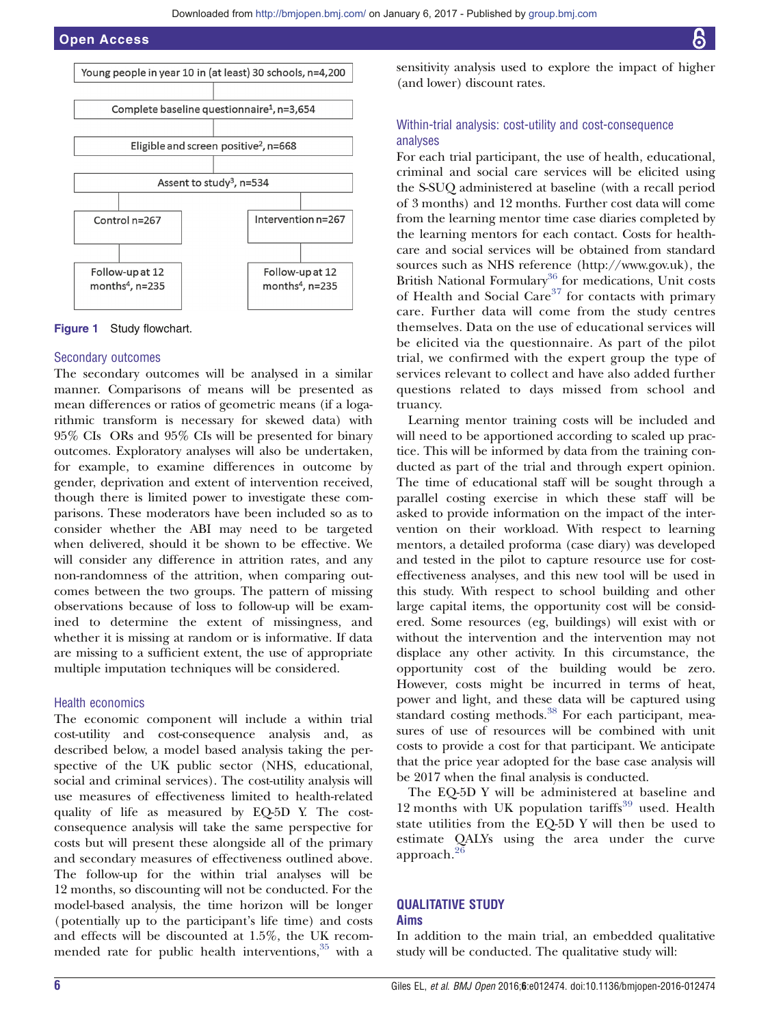<span id="page-5-0"></span>

Figure 1 Study flowchart.

#### Secondary outcomes

The secondary outcomes will be analysed in a similar manner. Comparisons of means will be presented as mean differences or ratios of geometric means (if a logarithmic transform is necessary for skewed data) with 95% CIs ORs and 95% CIs will be presented for binary outcomes. Exploratory analyses will also be undertaken, for example, to examine differences in outcome by gender, deprivation and extent of intervention received, though there is limited power to investigate these comparisons. These moderators have been included so as to consider whether the ABI may need to be targeted when delivered, should it be shown to be effective. We will consider any difference in attrition rates, and any non-randomness of the attrition, when comparing outcomes between the two groups. The pattern of missing observations because of loss to follow-up will be examined to determine the extent of missingness, and whether it is missing at random or is informative. If data are missing to a sufficient extent, the use of appropriate multiple imputation techniques will be considered.

#### Health economics

The economic component will include a within trial cost-utility and cost-consequence analysis and, as described below, a model based analysis taking the perspective of the UK public sector (NHS, educational, social and criminal services). The cost-utility analysis will use measures of effectiveness limited to health-related quality of life as measured by EQ-5D Y. The costconsequence analysis will take the same perspective for costs but will present these alongside all of the primary and secondary measures of effectiveness outlined above. The follow-up for the within trial analyses will be 12 months, so discounting will not be conducted. For the model-based analysis, the time horizon will be longer (potentially up to the participant's life time) and costs and effects will be discounted at 1.5%, the UK recommended rate for public health interventions,  $35$  with a

sensitivity analysis used to explore the impact of higher (and lower) discount rates.

### Within-trial analysis: cost-utility and cost-consequence analyses

For each trial participant, the use of health, educational, criminal and social care services will be elicited using the S-SUQ administered at baseline (with a recall period of 3 months) and 12 months. Further cost data will come from the learning mentor time case diaries completed by the learning mentors for each contact. Costs for healthcare and social services will be obtained from standard sources such as NHS reference [\(http://www.gov.uk](http://www.gov.uk)), the British National Formulary<sup>[36](#page-8-0)</sup> for medications, Unit costs of Health and Social Care<sup>[37](#page-8-0)</sup> for contacts with primary care. Further data will come from the study centres themselves. Data on the use of educational services will be elicited via the questionnaire. As part of the pilot trial, we confirmed with the expert group the type of services relevant to collect and have also added further questions related to days missed from school and truancy.

Learning mentor training costs will be included and will need to be apportioned according to scaled up practice. This will be informed by data from the training conducted as part of the trial and through expert opinion. The time of educational staff will be sought through a parallel costing exercise in which these staff will be asked to provide information on the impact of the intervention on their workload. With respect to learning mentors, a detailed proforma (case diary) was developed and tested in the pilot to capture resource use for costeffectiveness analyses, and this new tool will be used in this study. With respect to school building and other large capital items, the opportunity cost will be considered. Some resources (eg, buildings) will exist with or without the intervention and the intervention may not displace any other activity. In this circumstance, the opportunity cost of the building would be zero. However, costs might be incurred in terms of heat, power and light, and these data will be captured using standard costing methods.<sup>[38](#page-8-0)</sup> For each participant, measures of use of resources will be combined with unit costs to provide a cost for that participant. We anticipate that the price year adopted for the base case analysis will be 2017 when the final analysis is conducted.

The EQ-5D Y will be administered at baseline and 12 months with UK population tariffs $39$  used. Health state utilities from the EQ-5D Y will then be used to estimate QALYs using the area under the curve approach.[26](#page-8-0)

#### QUALITATIVE STUDY Aims

In addition to the main trial, an embedded qualitative study will be conducted. The qualitative study will: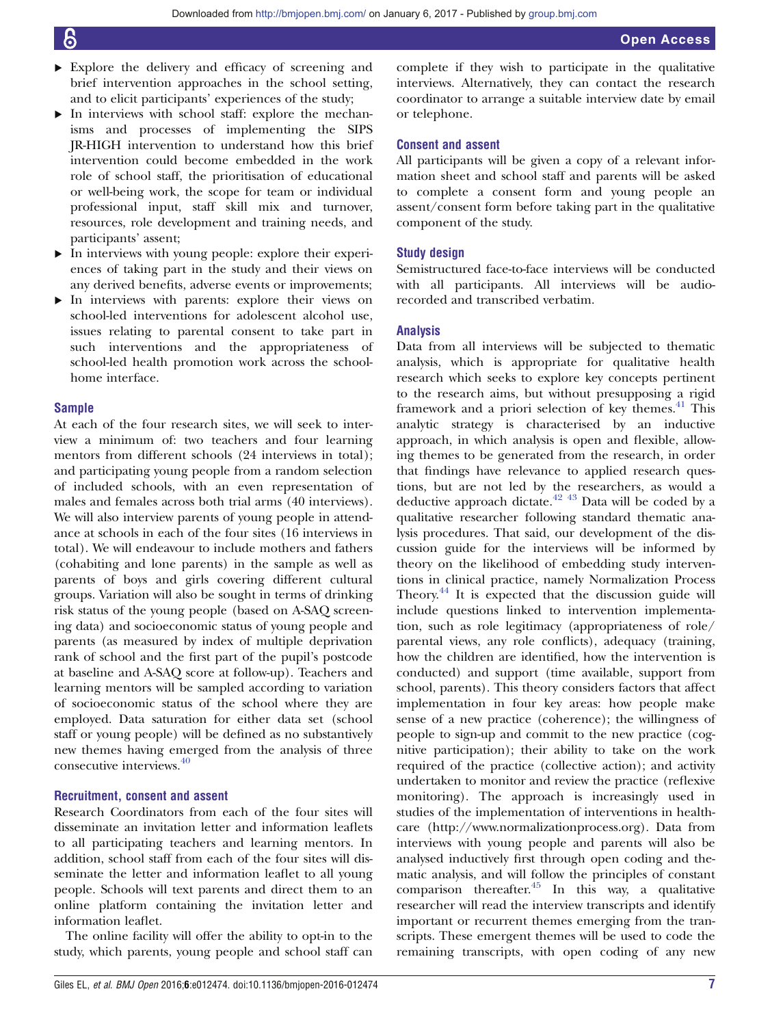- ▸ Explore the delivery and efficacy of screening and brief intervention approaches in the school setting, and to elicit participants' experiences of the study;
- ▸ In interviews with school staff: explore the mechanisms and processes of implementing the SIPS JR-HIGH intervention to understand how this brief intervention could become embedded in the work role of school staff, the prioritisation of educational or well-being work, the scope for team or individual professional input, staff skill mix and turnover, resources, role development and training needs, and participants' assent;
- ▸ In interviews with young people: explore their experiences of taking part in the study and their views on any derived benefits, adverse events or improvements;
- ▸ In interviews with parents: explore their views on school-led interventions for adolescent alcohol use, issues relating to parental consent to take part in such interventions and the appropriateness of school-led health promotion work across the schoolhome interface.

#### Sample

At each of the four research sites, we will seek to interview a minimum of: two teachers and four learning mentors from different schools (24 interviews in total); and participating young people from a random selection of included schools, with an even representation of males and females across both trial arms (40 interviews). We will also interview parents of young people in attendance at schools in each of the four sites (16 interviews in total). We will endeavour to include mothers and fathers (cohabiting and lone parents) in the sample as well as parents of boys and girls covering different cultural groups. Variation will also be sought in terms of drinking risk status of the young people (based on A-SAQ screening data) and socioeconomic status of young people and parents (as measured by index of multiple deprivation rank of school and the first part of the pupil's postcode at baseline and A-SAQ score at follow-up). Teachers and learning mentors will be sampled according to variation of socioeconomic status of the school where they are employed. Data saturation for either data set (school staff or young people) will be defined as no substantively new themes having emerged from the analysis of three consecutive interviews.[40](#page-8-0)

#### Recruitment, consent and assent

Research Coordinators from each of the four sites will disseminate an invitation letter and information leaflets to all participating teachers and learning mentors. In addition, school staff from each of the four sites will disseminate the letter and information leaflet to all young people. Schools will text parents and direct them to an online platform containing the invitation letter and information leaflet.

The online facility will offer the ability to opt-in to the study, which parents, young people and school staff can

complete if they wish to participate in the qualitative interviews. Alternatively, they can contact the research coordinator to arrange a suitable interview date by email or telephone.

#### Consent and assent

All participants will be given a copy of a relevant information sheet and school staff and parents will be asked to complete a consent form and young people an assent/consent form before taking part in the qualitative component of the study.

#### Study design

Semistructured face-to-face interviews will be conducted with all participants. All interviews will be audiorecorded and transcribed verbatim.

#### Analysis

Data from all interviews will be subjected to thematic analysis, which is appropriate for qualitative health research which seeks to explore key concepts pertinent to the research aims, but without presupposing a rigid framework and a priori selection of key themes.<sup>[41](#page-8-0)</sup> This analytic strategy is characterised by an inductive approach, in which analysis is open and flexible, allowing themes to be generated from the research, in order that findings have relevance to applied research questions, but are not led by the researchers, as would a deductive approach dictate. $42$   $43$  Data will be coded by a qualitative researcher following standard thematic analysis procedures. That said, our development of the discussion guide for the interviews will be informed by theory on the likelihood of embedding study interventions in clinical practice, namely Normalization Process Theory.[44](#page-8-0) It is expected that the discussion guide will include questions linked to intervention implementation, such as role legitimacy (appropriateness of role/ parental views, any role conflicts), adequacy (training, how the children are identified, how the intervention is conducted) and support (time available, support from school, parents). This theory considers factors that affect implementation in four key areas: how people make sense of a new practice (coherence); the willingness of people to sign-up and commit to the new practice (cognitive participation); their ability to take on the work required of the practice (collective action); and activity undertaken to monitor and review the practice (reflexive monitoring). The approach is increasingly used in studies of the implementation of interventions in healthcare (<http://www.normalizationprocess.org>). Data from interviews with young people and parents will also be analysed inductively first through open coding and thematic analysis, and will follow the principles of constant comparison thereafter.<sup>[45](#page-8-0)</sup> In this way, a qualitative researcher will read the interview transcripts and identify important or recurrent themes emerging from the transcripts. These emergent themes will be used to code the remaining transcripts, with open coding of any new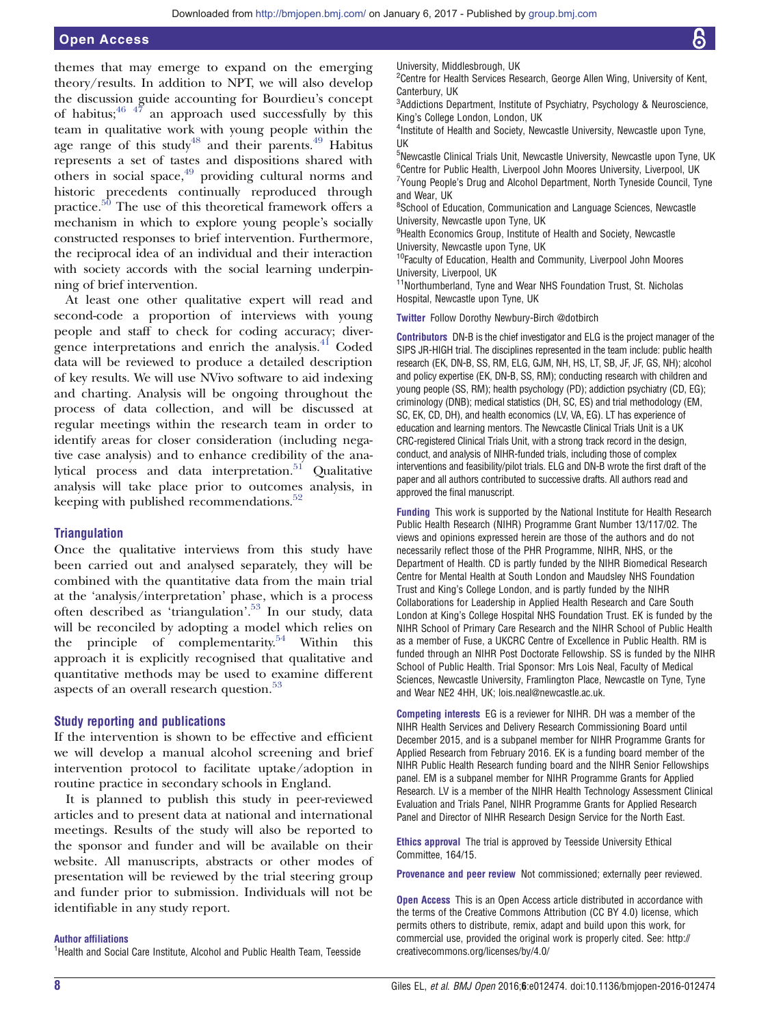themes that may emerge to expand on the emerging theory/results. In addition to NPT, we will also develop the discussion guide accounting for Bourdieu's concept of habitus;  $46 \frac{47}{7}$  an approach used successfully by this team in qualitative work with young people within the age range of this study<sup>[48](#page-8-0)</sup> and their parents.<sup>[49](#page-8-0)</sup> Habitus represents a set of tastes and dispositions shared with others in social space,<sup>49</sup> providing cultural norms and historic precedents continually reproduced through practice. $50$  The use of this theoretical framework offers a mechanism in which to explore young people's socially constructed responses to brief intervention. Furthermore, the reciprocal idea of an individual and their interaction with society accords with the social learning underpinning of brief intervention.

At least one other qualitative expert will read and second-code a proportion of interviews with young people and staff to check for coding accuracy; diver-gence interpretations and enrich the analysis.<sup>[41](#page-8-0)</sup> Coded data will be reviewed to produce a detailed description of key results. We will use NVivo software to aid indexing and charting. Analysis will be ongoing throughout the process of data collection, and will be discussed at regular meetings within the research team in order to identify areas for closer consideration (including negative case analysis) and to enhance credibility of the ana-lytical process and data interpretation.<sup>[51](#page-8-0)</sup> Qualitative analysis will take place prior to outcomes analysis, in keeping with published recommendations. $52$ 

#### **Triangulation**

Once the qualitative interviews from this study have been carried out and analysed separately, they will be combined with the quantitative data from the main trial at the 'analysis/interpretation' phase, which is a process often described as 'triangulation'. [53](#page-8-0) In our study, data will be reconciled by adopting a model which relies on the principle of complementarity.<sup>54</sup> Within this approach it is explicitly recognised that qualitative and quantitative methods may be used to examine different aspects of an overall research question.<sup>[53](#page-8-0)</sup>

#### Study reporting and publications

If the intervention is shown to be effective and efficient we will develop a manual alcohol screening and brief intervention protocol to facilitate uptake/adoption in routine practice in secondary schools in England.

It is planned to publish this study in peer-reviewed articles and to present data at national and international meetings. Results of the study will also be reported to the sponsor and funder and will be available on their website. All manuscripts, abstracts or other modes of presentation will be reviewed by the trial steering group and funder prior to submission. Individuals will not be identifiable in any study report.

#### Author affiliations

<sup>1</sup>Health and Social Care Institute, Alcohol and Public Health Team, Teesside

<sup>2</sup> Centre for Health Services Research, George Allen Wing, University of Kent, Canterbury, UK

<sup>3</sup>Addictions Department, Institute of Psychiatry, Psychology & Neuroscience, King's College London, London, UK

4 Institute of Health and Society, Newcastle University, Newcastle upon Tyne, UK

<sup>5</sup>Newcastle Clinical Trials Unit, Newcastle University, Newcastle upon Tyne, UK <sup>6</sup>Centre for Public Health, Liverpool John Moores University, Liverpool, UK <sup>7</sup>Young People's Drug and Alcohol Department, North Tyneside Council, Tyne and Wear, UK

<sup>8</sup>School of Education, Communication and Language Sciences, Newcastle University, Newcastle upon Tyne, UK

<sup>9</sup>Health Economics Group, Institute of Health and Society, Newcastle University, Newcastle upon Tyne, UK

<sup>10</sup>Faculty of Education, Health and Community, Liverpool John Moores University, Liverpool, UK

<sup>11</sup>Northumberland, Tyne and Wear NHS Foundation Trust, St. Nicholas Hospital, Newcastle upon Tyne, UK

Twitter Follow Dorothy Newbury-Birch [@dotbirch](http://twitter.com/dotbirch)

Contributors DN-B is the chief investigator and ELG is the project manager of the SIPS JR-HIGH trial. The disciplines represented in the team include: public health research (EK, DN-B, SS, RM, ELG, GJM, NH, HS, LT, SB, JF, JF, GS, NH); alcohol and policy expertise (EK, DN-B, SS, RM); conducting research with children and young people (SS, RM); health psychology (PD); addiction psychiatry (CD, EG); criminology (DNB); medical statistics (DH, SC, ES) and trial methodology (EM, SC, EK, CD, DH), and health economics (LV, VA, EG). LT has experience of education and learning mentors. The Newcastle Clinical Trials Unit is a UK CRC-registered Clinical Trials Unit, with a strong track record in the design, conduct, and analysis of NIHR-funded trials, including those of complex interventions and feasibility/pilot trials. ELG and DN-B wrote the first draft of the paper and all authors contributed to successive drafts. All authors read and approved the final manuscript.

Funding This work is supported by the National Institute for Health Research Public Health Research (NIHR) Programme Grant Number 13/117/02. The views and opinions expressed herein are those of the authors and do not necessarily reflect those of the PHR Programme, NIHR, NHS, or the Department of Health. CD is partly funded by the NIHR Biomedical Research Centre for Mental Health at South London and Maudsley NHS Foundation Trust and King's College London, and is partly funded by the NIHR Collaborations for Leadership in Applied Health Research and Care South London at King's College Hospital NHS Foundation Trust. EK is funded by the NIHR School of Primary Care Research and the NIHR School of Public Health as a member of Fuse, a UKCRC Centre of Excellence in Public Health. RM is funded through an NIHR Post Doctorate Fellowship. SS is funded by the NIHR School of Public Health. Trial Sponsor: Mrs Lois Neal, Faculty of Medical Sciences, Newcastle University, Framlington Place, Newcastle on Tyne, Tyne and Wear NE2 4HH, UK; lois.neal@newcastle.ac.uk.

Competing interests EG is a reviewer for NIHR. DH was a member of the NIHR Health Services and Delivery Research Commissioning Board until December 2015, and is a subpanel member for NIHR Programme Grants for Applied Research from February 2016. EK is a funding board member of the NIHR Public Health Research funding board and the NIHR Senior Fellowships panel. EM is a subpanel member for NIHR Programme Grants for Applied Research. LV is a member of the NIHR Health Technology Assessment Clinical Evaluation and Trials Panel, NIHR Programme Grants for Applied Research Panel and Director of NIHR Research Design Service for the North East.

Ethics approval The trial is approved by Teesside University Ethical Committee, 164/15.

Provenance and peer review Not commissioned; externally peer reviewed.

Open Access This is an Open Access article distributed in accordance with the terms of the Creative Commons Attribution (CC BY 4.0) license, which permits others to distribute, remix, adapt and build upon this work, for commercial use, provided the original work is properly cited. See: [http://](http://creativecommons.org/licenses/by/4.0/) [creativecommons.org/licenses/by/4.0/](http://creativecommons.org/licenses/by/4.0/)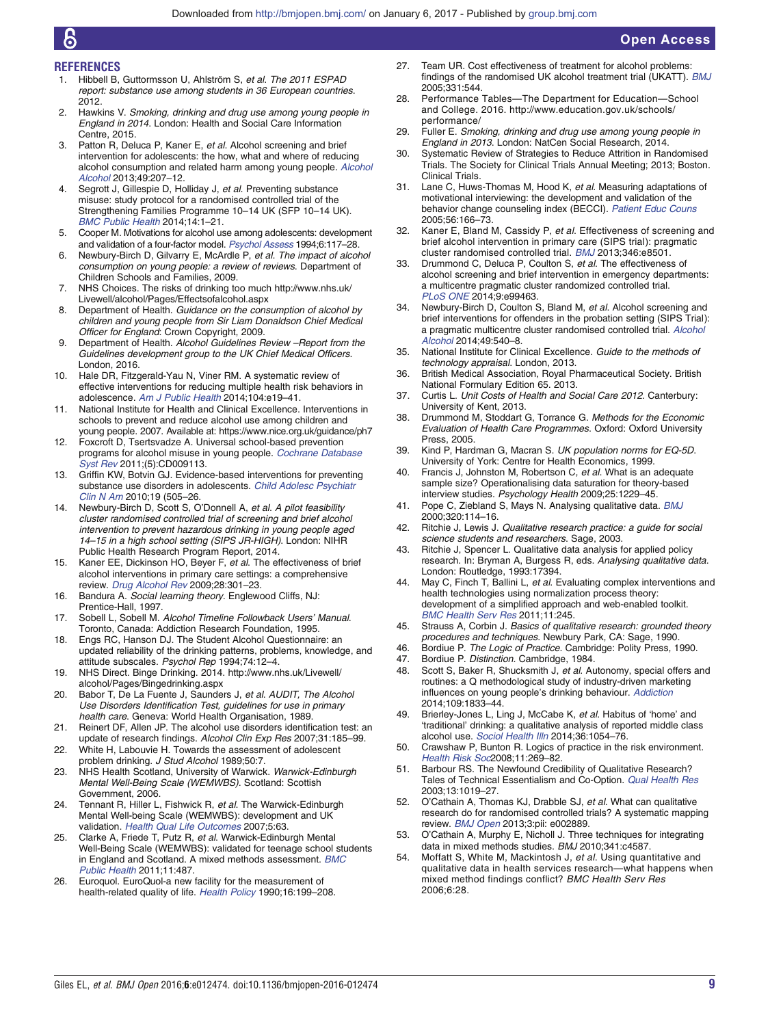#### <span id="page-8-0"></span>REFERENCES

- 1. Hibbell B, Guttormsson U, Ahlström S, et al. The 2011 ESPAD report: substance use among students in 36 European countries. 2012.
- 2. Hawkins V. Smoking, drinking and drug use among young people in England in 2014. London: Health and Social Care Information Centre, 2015.
- 3. Patton R, Deluca P, Kaner E, et al. Alcohol screening and brief intervention for adolescents: the how, what and where of reducing alcohol consumption and related harm among young people. [Alcohol](http://dx.doi.org/10.1093/alcalc/agt165) [Alcohol](http://dx.doi.org/10.1093/alcalc/agt165) 2013;49:207–12.
- 4. Segrott J, Gillespie D, Holliday J, et al. Preventing substance misuse: study protocol for a randomised controlled trial of the Strengthening Families Programme 10–14 UK (SFP 10–14 UK). [BMC Public Health](http://dx.doi.org/10.1186/1471-2458-14-49) 2014;14:1–21.
- 5. Cooper M. Motivations for alcohol use among adolescents: development and validation of a four-factor model. [Psychol Assess](http://dx.doi.org/10.1037/1040-3590.6.2.117) 1994;6:117–28.
- 6. Newbury-Birch D, Gilvarry E, McArdle P, et al. The impact of alcohol consumption on young people: a review of reviews. Department of Children Schools and Families, 2009.
- 7. NHS Choices. The risks of drinking too much [http://www.nhs.uk/](http://www.nhs.uk/Livewell/alcohol/Pages/Effectsofalcohol.aspx) [Livewell/alcohol/Pages/Effectsofalcohol.aspx](http://www.nhs.uk/Livewell/alcohol/Pages/Effectsofalcohol.aspx)
- 8. Department of Health. Guidance on the consumption of alcohol by children and young people from Sir Liam Donaldson Chief Medical Officer for England: Crown Copyright, 2009.
- 9. Department of Health. Alcohol Guidelines Review -Report from the Guidelines development group to the UK Chief Medical Officers. London, 2016.
- 10. Hale DR, Fitzgerald-Yau N, Viner RM. A systematic review of effective interventions for reducing multiple health risk behaviors in adolescence. [Am J Public Health](http://dx.doi.org/10.2105/AJPH.2014.301874) 2014;104:e19–41.
- 11. National Institute for Health and Clinical Excellence. Interventions in schools to prevent and reduce alcohol use among children and young people. 2007. Available at:<https://www.nice.org.uk/guidance/ph7>
- 12. Foxcroft D, Tsertsvadze A. Universal school-based prevention programs for alcohol misuse in young people. [Cochrane Database](http://dx.doi.org/10.1002/14651858.CD009113) [Syst Rev](http://dx.doi.org/10.1002/14651858.CD009113) 2011;(5):CD009113.
- 13. Griffin KW, Botvin GJ. Evidence-based interventions for preventing substance use disorders in adolescents. [Child Adolesc Psychiatr](http://dx.doi.org/10.1016/j.chc.2010.03.005) [Clin N Am](http://dx.doi.org/10.1016/j.chc.2010.03.005) 2010;19 (505–26.
- 14. Newbury-Birch D, Scott S, O'Donnell A, et al. A pilot feasibility cluster randomised controlled trial of screening and brief alcohol intervention to prevent hazardous drinking in young people aged 14–15 in a high school setting (SIPS JR-HIGH). London: NIHR Public Health Research Program Report, 2014.
- 15. Kaner EE, Dickinson HO, Beyer F, et al. The effectiveness of brief alcohol interventions in primary care settings: a comprehensive review. [Drug Alcohol Rev](http://dx.doi.org/10.1111/j.1465-3362.2009.00071.x) 2009;28:301–23.
- 16. Bandura A. Social learning theory. Englewood Cliffs, NJ: Prentice-Hall, 1997.
- 17. Sobell L, Sobell M. Alcohol Timeline Followback Users' Manual. Toronto, Canada: Addiction Research Foundation, 1995.
- 18. Engs RC, Hanson DJ. The Student Alcohol Questionnaire: an updated reliability of the drinking patterns, problems, knowledge, and attitude subscales. Psychol Rep 1994;74:12–4.
- 19. NHS Direct. Binge Drinking. 2014. [http://www.nhs.uk/Livewell/](http://www.nhs.uk/Livewell/alcohol/Pages/Bingedrinking.aspx) [alcohol/Pages/Bingedrinking.aspx](http://www.nhs.uk/Livewell/alcohol/Pages/Bingedrinking.aspx)
- 20. Babor T, De La Fuente J, Saunders J, et al. AUDIT, The Alcohol Use Disorders Identification Test, guidelines for use in primary health care. Geneva: World Health Organisation, 1989.
- 21. Reinert DF, Allen JP. The alcohol use disorders identification test: an update of research findings. Alcohol Clin Exp Res 2007;31:185–99.
- 22. White H, Labouvie H. Towards the assessment of adolescent problem drinking. J Stud Alcohol 1989;50:7.
- 23. NHS Health Scotland, University of Warwick. Warwick-Edinburgh Mental Well-Being Scale (WEMWBS). Scotland: Scottish Government, 2006.
- 24. Tennant R, Hiller L, Fishwick R, et al. The Warwick-Edinburgh Mental Well-being Scale (WEMWBS): development and UK validation. [Health Qual Life Outcomes](http://dx.doi.org/10.1186/1477-7525-5-63) 2007;5:63.
- 25. Clarke A, Friede T, Putz R, et al. Warwick-Edinburgh Mental Well-Being Scale (WEMWBS): validated for teenage school students in England and Scotland. A mixed methods assessment. [BMC](http://dx.doi.org/10.1186/1471-2458-11-487) [Public Health](http://dx.doi.org/10.1186/1471-2458-11-487) 2011;11:487.
- 26. Euroquol. EuroQuol-a new facility for the measurement of health-related quality of life. [Health Policy](http://dx.doi.org/10.1016/0168-8510(90)90421-9) 1990;16:199–208.
- 27. Team UR. Cost effectiveness of treatment for alcohol problems: findings of the randomised UK alcohol treatment trial (UKATT). [BMJ](http://dx.doi.org/10.1136/bmj.331.7516.544) 2005;331:544.
- 28. Performance Tables—The Department for Education—School and College. 2016. [http://www.education.gov.uk/schools/](http://www.education.gov.uk/schools/performance/) [performance/](http://www.education.gov.uk/schools/performance/)
- 29. Fuller E. Smoking, drinking and drug use among young people in England in 2013. London: NatCen Social Research, 2014.
- 30. Systematic Review of Strategies to Reduce Attrition in Randomised Trials. The Society for Clinical Trials Annual Meeting; 2013; Boston. Clinical Trials.
- 31. Lane C, Huws-Thomas M, Hood K, et al. Measuring adaptations of motivational interviewing: the development and validation of the behavior change counseling index (BECCI). [Patient Educ Couns](http://dx.doi.org/10.1016/j.pec.2004.01.003) 2005;56:166–73.
- 32. Kaner E, Bland M, Cassidy P, et al. Effectiveness of screening and brief alcohol intervention in primary care (SIPS trial): pragmatic cluster randomised controlled trial. [BMJ](http://dx.doi.org/10.1136/bmj.e8501) 2013;346:e8501.
- 33. Drummond C, Deluca P, Coulton S, et al. The effectiveness of alcohol screening and brief intervention in emergency departments: a multicentre pragmatic cluster randomized controlled trial. [PLoS ONE](http://dx.doi.org/10.1371/journal.pone.0099463) 2014;9:e99463.
- 34. Newbury-Birch D, Coulton S, Bland M, et al. Alcohol screening and brief interventions for offenders in the probation setting (SIPS Trial): a pragmatic multicentre cluster randomised controlled trial. [Alcohol](http://dx.doi.org/10.1093/alcalc/agu046) [Alcohol](http://dx.doi.org/10.1093/alcalc/agu046) 2014;49:540–8.
- 35. National Institute for Clinical Excellence. Guide to the methods of technology appraisal. London, 2013.
- 36. British Medical Association, Royal Pharmaceutical Society. British National Formulary Edition 65. 2013.
- 37. Curtis L. Unit Costs of Health and Social Care 2012. Canterbury: University of Kent, 2013.
- 38. Drummond M, Stoddart G, Torrance G. Methods for the Economic Evaluation of Health Care Programmes. Oxford: Oxford University Press, 2005.
- 39. Kind P, Hardman G, Macran S. UK population norms for EQ-5D. University of York: Centre for Health Economics, 1999.
- 40. Francis J, Johnston M, Robertson C, et al. What is an adequate sample size? Operationalising data saturation for theory-based interview studies. Psychology Health 2009;25:1229–45.
- 41. Pope C, Ziebland S, Mays N. Analysing qualitative data. [BMJ](http://dx.doi.org/10.1136/bmj.320.7227.114) 2000;320:114–16.
- 42. Ritchie J, Lewis J. Qualitative research practice: a guide for social science students and researchers. Sage, 2003.
- 43. Ritchie J, Spencer L. Qualitative data analysis for applied policy research. In: Bryman A, Burgess R, eds. Analysing qualitative data. London: Routledge, 1993:17394.
- 44. May C, Finch T, Ballini L, et al. Evaluating complex interventions and health technologies using normalization process theory: development of a simplified approach and web-enabled toolkit. [BMC Health Serv Res](http://dx.doi.org/10.1186/1472-6963-11-245) 2011;11:245.
- 45. Strauss A, Corbin J. Basics of qualitative research: grounded theory procedures and techniques. Newbury Park, CA: Sage, 1990.
- 46. Bordiue P. The Logic of Practice. Cambridge: Polity Press, 1990.<br>47. Bordiue P. Distinction. Cambridge. 1984.
- 47. Bordiue P. Distinction. Cambridge, 1984.<br>48. Scott S. Baker R. Shucksmith J. et al. Au
- Scott S, Baker R, Shucksmith J, et al. Autonomy, special offers and routines: a Q methodological study of industry-driven marketing influences on young people's drinking behaviour. [Addiction](http://dx.doi.org/10.1111/add.12663) 2014;109:1833–44.
- Brierley-Jones L, Ling J, McCabe K, et al. Habitus of 'home' and 'traditional' drinking: a qualitative analysis of reported middle class alcohol use. [Sociol Health Illn](http://dx.doi.org/10.1111/1467-9566.12145) 2014;36:1054–76.
- 50. Crawshaw P, Bunton R. Logics of practice in the risk environment. [Health Risk Soc](http://dx.doi.org/10.1080/13698570902906447)2008;11:269-82.
- 51. Barbour RS. The Newfound Credibility of Qualitative Research? Tales of Technical Essentialism and Co-Option. [Qual Health Res](http://dx.doi.org/10.1177/1049732303253331) 2003;13:1019–27.
- 52. O'Cathain A, Thomas KJ, Drabble SJ, et al. What can qualitative research do for randomised controlled trials? A systematic mapping review. [BMJ Open](http://dx.doi.org/10.1136/bmjopen-2013-002889) 2013;3:pii: e002889.
- 53. O'Cathain A, Murphy E, Nicholl J. Three techniques for integrating data in mixed methods studies. BMJ 2010;341:c4587.
- 54. Moffatt S, White M, Mackintosh J, et al. Using quantitative and qualitative data in health services research—what happens when mixed method findings conflict? BMC Health Serv Res 2006;6:28.